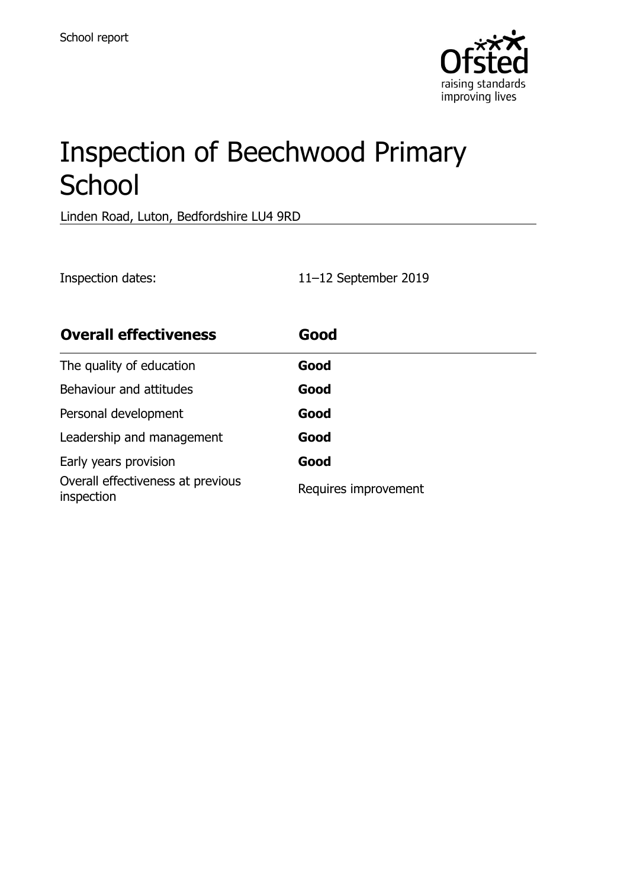

# Inspection of Beechwood Primary **School**

Linden Road, Luton, Bedfordshire LU4 9RD

Inspection dates: 11–12 September 2019

| <b>Overall effectiveness</b>                    | Good                 |
|-------------------------------------------------|----------------------|
| The quality of education                        | Good                 |
| Behaviour and attitudes                         | Good                 |
| Personal development                            | Good                 |
| Leadership and management                       | Good                 |
| Early years provision                           | Good                 |
| Overall effectiveness at previous<br>inspection | Requires improvement |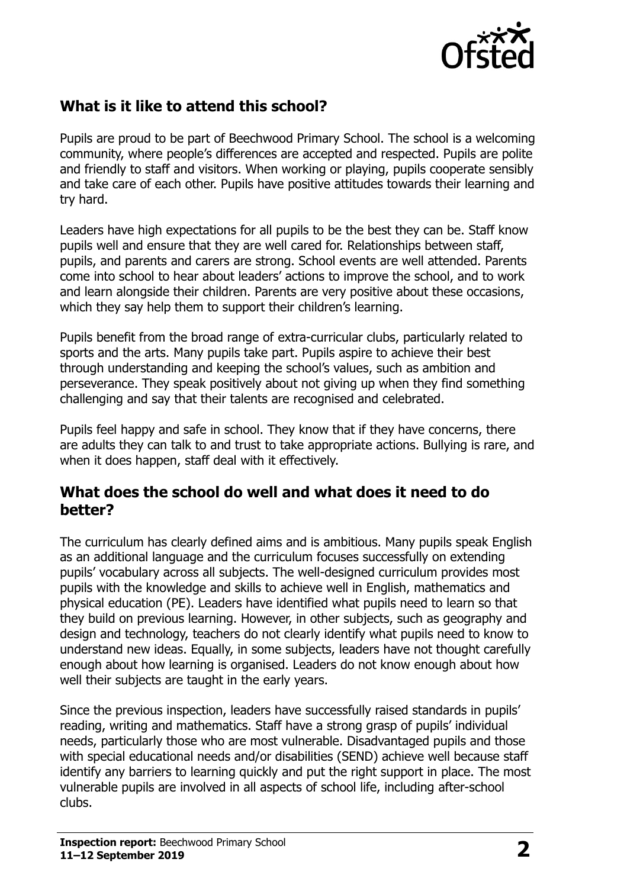

# **What is it like to attend this school?**

Pupils are proud to be part of Beechwood Primary School. The school is a welcoming community, where people's differences are accepted and respected. Pupils are polite and friendly to staff and visitors. When working or playing, pupils cooperate sensibly and take care of each other. Pupils have positive attitudes towards their learning and try hard.

Leaders have high expectations for all pupils to be the best they can be. Staff know pupils well and ensure that they are well cared for. Relationships between staff, pupils, and parents and carers are strong. School events are well attended. Parents come into school to hear about leaders' actions to improve the school, and to work and learn alongside their children. Parents are very positive about these occasions, which they say help them to support their children's learning.

Pupils benefit from the broad range of extra-curricular clubs, particularly related to sports and the arts. Many pupils take part. Pupils aspire to achieve their best through understanding and keeping the school's values, such as ambition and perseverance. They speak positively about not giving up when they find something challenging and say that their talents are recognised and celebrated.

Pupils feel happy and safe in school. They know that if they have concerns, there are adults they can talk to and trust to take appropriate actions. Bullying is rare, and when it does happen, staff deal with it effectively.

#### **What does the school do well and what does it need to do better?**

The curriculum has clearly defined aims and is ambitious. Many pupils speak English as an additional language and the curriculum focuses successfully on extending pupils' vocabulary across all subjects. The well-designed curriculum provides most pupils with the knowledge and skills to achieve well in English, mathematics and physical education (PE). Leaders have identified what pupils need to learn so that they build on previous learning. However, in other subjects, such as geography and design and technology, teachers do not clearly identify what pupils need to know to understand new ideas. Equally, in some subjects, leaders have not thought carefully enough about how learning is organised. Leaders do not know enough about how well their subjects are taught in the early years.

Since the previous inspection, leaders have successfully raised standards in pupils' reading, writing and mathematics. Staff have a strong grasp of pupils' individual needs, particularly those who are most vulnerable. Disadvantaged pupils and those with special educational needs and/or disabilities (SEND) achieve well because staff identify any barriers to learning quickly and put the right support in place. The most vulnerable pupils are involved in all aspects of school life, including after-school clubs.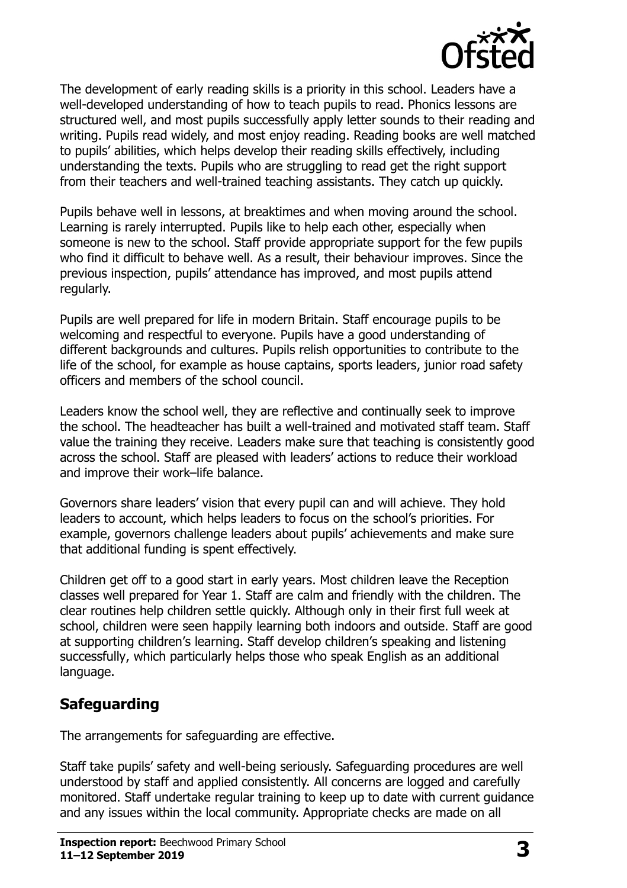

The development of early reading skills is a priority in this school. Leaders have a well-developed understanding of how to teach pupils to read. Phonics lessons are structured well, and most pupils successfully apply letter sounds to their reading and writing. Pupils read widely, and most enjoy reading. Reading books are well matched to pupils' abilities, which helps develop their reading skills effectively, including understanding the texts. Pupils who are struggling to read get the right support from their teachers and well-trained teaching assistants. They catch up quickly.

Pupils behave well in lessons, at breaktimes and when moving around the school. Learning is rarely interrupted. Pupils like to help each other, especially when someone is new to the school. Staff provide appropriate support for the few pupils who find it difficult to behave well. As a result, their behaviour improves. Since the previous inspection, pupils' attendance has improved, and most pupils attend regularly.

Pupils are well prepared for life in modern Britain. Staff encourage pupils to be welcoming and respectful to everyone. Pupils have a good understanding of different backgrounds and cultures. Pupils relish opportunities to contribute to the life of the school, for example as house captains, sports leaders, junior road safety officers and members of the school council.

Leaders know the school well, they are reflective and continually seek to improve the school. The headteacher has built a well-trained and motivated staff team. Staff value the training they receive. Leaders make sure that teaching is consistently good across the school. Staff are pleased with leaders' actions to reduce their workload and improve their work–life balance.

Governors share leaders' vision that every pupil can and will achieve. They hold leaders to account, which helps leaders to focus on the school's priorities. For example, governors challenge leaders about pupils' achievements and make sure that additional funding is spent effectively.

Children get off to a good start in early years. Most children leave the Reception classes well prepared for Year 1. Staff are calm and friendly with the children. The clear routines help children settle quickly. Although only in their first full week at school, children were seen happily learning both indoors and outside. Staff are good at supporting children's learning. Staff develop children's speaking and listening successfully, which particularly helps those who speak English as an additional language.

# **Safeguarding**

The arrangements for safeguarding are effective.

Staff take pupils' safety and well-being seriously. Safeguarding procedures are well understood by staff and applied consistently. All concerns are logged and carefully monitored. Staff undertake regular training to keep up to date with current guidance and any issues within the local community. Appropriate checks are made on all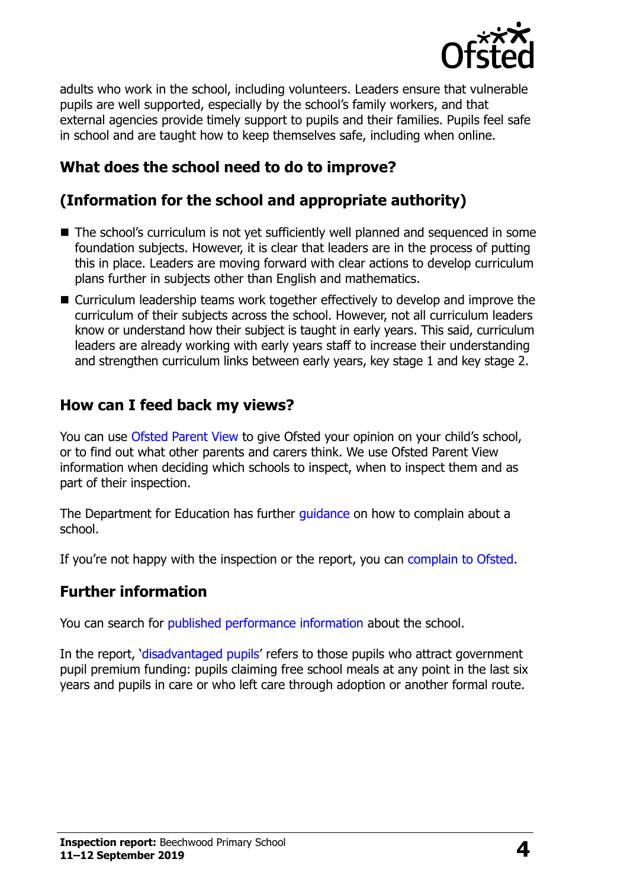

adults who work in the school, including volunteers. Leaders ensure that vulnerable pupils are well supported, especially by the school's family workers, and that external agencies provide timely support to pupils and their families. Pupils feel safe in school and are taught how to keep themselves safe, including when online.

# **What does the school need to do to improve?**

# **(Information for the school and appropriate authority)**

- The school's curriculum is not yet sufficiently well planned and sequenced in some foundation subjects. However, it is clear that leaders are in the process of putting this in place. Leaders are moving forward with clear actions to develop curriculum plans further in subjects other than English and mathematics.
- Curriculum leadership teams work together effectively to develop and improve the curriculum of their subjects across the school. However, not all curriculum leaders know or understand how their subject is taught in early years. This said, curriculum leaders are already working with early years staff to increase their understanding and strengthen curriculum links between early years, key stage 1 and key stage 2.

### **How can I feed back my views?**

You can use [Ofsted Parent View](http://parentview.ofsted.gov.uk/) to give Ofsted your opinion on your child's school, or to find out what other parents and carers think. We use Ofsted Parent View information when deciding which schools to inspect, when to inspect them and as part of their inspection.

The Department for Education has further quidance on how to complain about a school.

If you're not happy with the inspection or the report, you can [complain to Ofsted.](http://www.gov.uk/complain-ofsted-report)

#### **Further information**

You can search for [published performance information](http://www.compare-school-performance.service.gov.uk/) about the school.

In the report, '[disadvantaged pupils](http://www.gov.uk/guidance/pupil-premium-information-for-schools-and-alternative-provision-settings)' refers to those pupils who attract government pupil premium funding: pupils claiming free school meals at any point in the last six years and pupils in care or who left care through adoption or another formal route.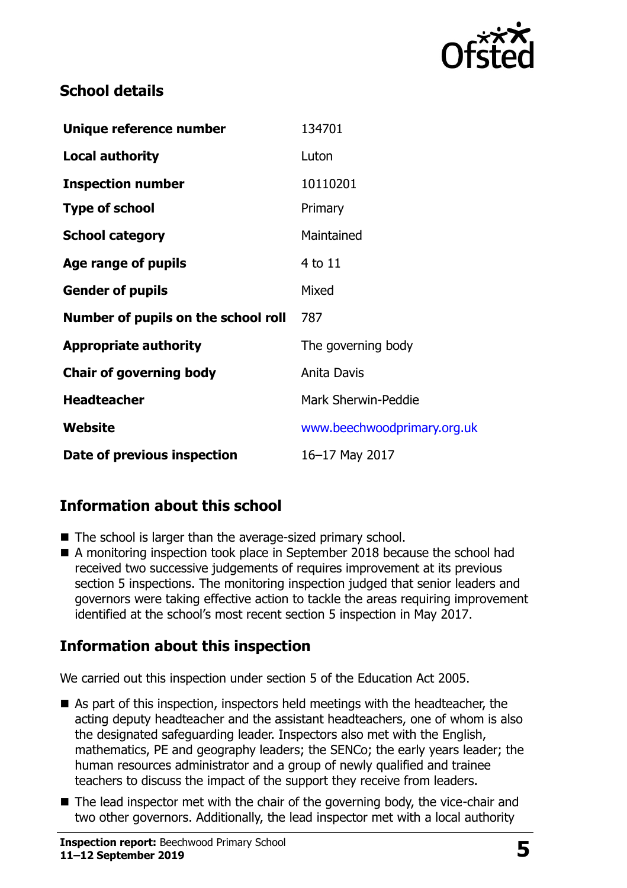

### **School details**

| Unique reference number             | 134701                      |
|-------------------------------------|-----------------------------|
| <b>Local authority</b>              | Luton                       |
| <b>Inspection number</b>            | 10110201                    |
| <b>Type of school</b>               | Primary                     |
| <b>School category</b>              | Maintained                  |
| Age range of pupils                 | 4 to 11                     |
| <b>Gender of pupils</b>             | Mixed                       |
| Number of pupils on the school roll | 787                         |
| <b>Appropriate authority</b>        | The governing body          |
| <b>Chair of governing body</b>      | Anita Davis                 |
| <b>Headteacher</b>                  | <b>Mark Sherwin-Peddie</b>  |
| Website                             | www.beechwoodprimary.org.uk |
| Date of previous inspection         | 16-17 May 2017              |

# **Information about this school**

- The school is larger than the average-sized primary school.
- A monitoring inspection took place in September 2018 because the school had received two successive judgements of requires improvement at its previous section 5 inspections. The monitoring inspection judged that senior leaders and governors were taking effective action to tackle the areas requiring improvement identified at the school's most recent section 5 inspection in May 2017.

# **Information about this inspection**

We carried out this inspection under section 5 of the Education Act 2005.

- As part of this inspection, inspectors held meetings with the headteacher, the acting deputy headteacher and the assistant headteachers, one of whom is also the designated safeguarding leader. Inspectors also met with the English, mathematics, PE and geography leaders; the SENCo; the early years leader; the human resources administrator and a group of newly qualified and trainee teachers to discuss the impact of the support they receive from leaders.
- The lead inspector met with the chair of the governing body, the vice-chair and two other governors. Additionally, the lead inspector met with a local authority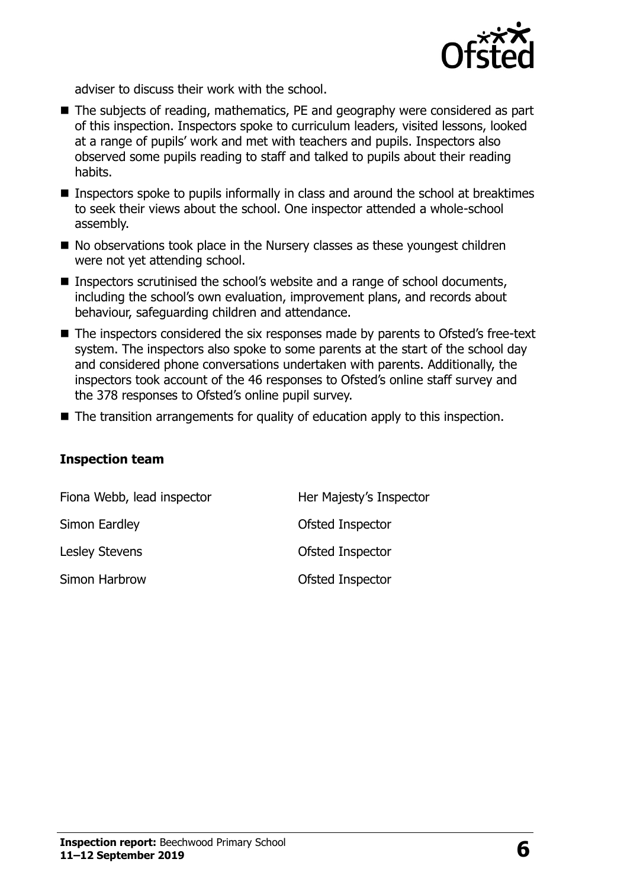

adviser to discuss their work with the school.

- The subjects of reading, mathematics, PE and geography were considered as part of this inspection. Inspectors spoke to curriculum leaders, visited lessons, looked at a range of pupils' work and met with teachers and pupils. Inspectors also observed some pupils reading to staff and talked to pupils about their reading habits.
- **Inspectors spoke to pupils informally in class and around the school at breaktimes** to seek their views about the school. One inspector attended a whole-school assembly.
- $\blacksquare$  No observations took place in the Nursery classes as these youngest children were not yet attending school.
- Inspectors scrutinised the school's website and a range of school documents, including the school's own evaluation, improvement plans, and records about behaviour, safeguarding children and attendance.
- The inspectors considered the six responses made by parents to Ofsted's free-text system. The inspectors also spoke to some parents at the start of the school day and considered phone conversations undertaken with parents. Additionally, the inspectors took account of the 46 responses to Ofsted's online staff survey and the 378 responses to Ofsted's online pupil survey.
- The transition arrangements for quality of education apply to this inspection.

#### **Inspection team**

| Fiona Webb, lead inspector | Her Majesty's Inspector |
|----------------------------|-------------------------|
| Simon Eardley              | Ofsted Inspector        |
| <b>Lesley Stevens</b>      | Ofsted Inspector        |
| Simon Harbrow              | Ofsted Inspector        |